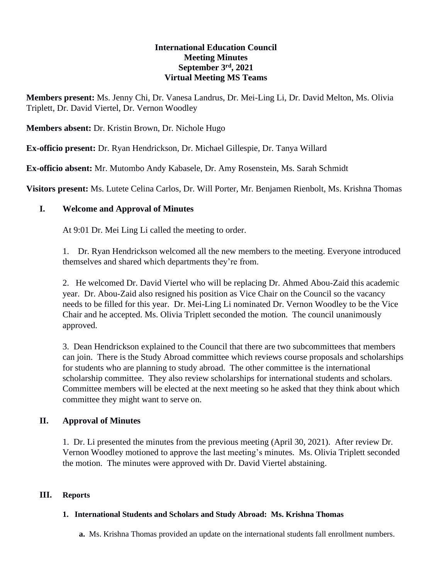### **International Education Council Meeting Minutes September 3 rd, 2021 Virtual Meeting MS Teams**

**Members present:** Ms. Jenny Chi, Dr. Vanesa Landrus, Dr. Mei-Ling Li, Dr. David Melton, Ms. Olivia Triplett, Dr. David Viertel, Dr. Vernon Woodley

**Members absent:** Dr. Kristin Brown, Dr. Nichole Hugo

**Ex-officio present:** Dr. Ryan Hendrickson, Dr. Michael Gillespie, Dr. Tanya Willard

**Ex-officio absent:** Mr. Mutombo Andy Kabasele, Dr. Amy Rosenstein, Ms. Sarah Schmidt

**Visitors present:** Ms. Lutete Celina Carlos, Dr. Will Porter, Mr. Benjamen Rienbolt, Ms. Krishna Thomas

### **I. Welcome and Approval of Minutes**

At 9:01 Dr. Mei Ling Li called the meeting to order.

1. Dr. Ryan Hendrickson welcomed all the new members to the meeting. Everyone introduced themselves and shared which departments they're from.

2. He welcomed Dr. David Viertel who will be replacing Dr. Ahmed Abou-Zaid this academic year. Dr. Abou-Zaid also resigned his position as Vice Chair on the Council so the vacancy needs to be filled for this year. Dr. Mei-Ling Li nominated Dr. Vernon Woodley to be the Vice Chair and he accepted. Ms. Olivia Triplett seconded the motion. The council unanimously approved.

3. Dean Hendrickson explained to the Council that there are two subcommittees that members can join. There is the Study Abroad committee which reviews course proposals and scholarships for students who are planning to study abroad. The other committee is the international scholarship committee. They also review scholarships for international students and scholars. Committee members will be elected at the next meeting so he asked that they think about which committee they might want to serve on.

# **II. Approval of Minutes**

1.Dr. Li presented the minutes from the previous meeting (April 30, 2021). After review Dr. Vernon Woodley motioned to approve the last meeting's minutes. Ms. Olivia Triplett seconded the motion. The minutes were approved with Dr. David Viertel abstaining.

#### **III. Reports**

#### **1. International Students and Scholars and Study Abroad: Ms. Krishna Thomas**

**a.** Ms. Krishna Thomas provided an update on the international students fall enrollment numbers.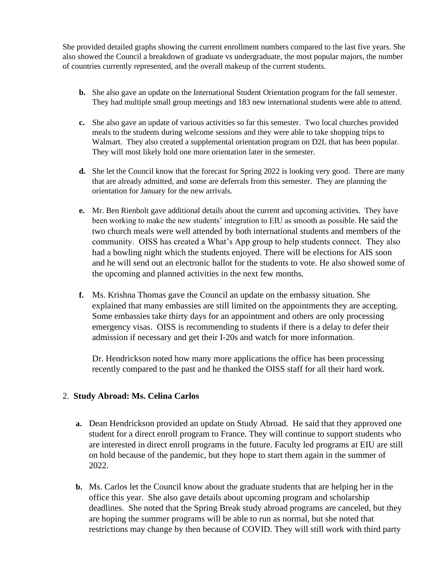She provided detailed graphs showing the current enrollment numbers compared to the last five years. She also showed the Council a breakdown of graduate vs undergraduate, the most popular majors, the number of countries currently represented, and the overall makeup of the current students.

- **b.** She also gave an update on the International Student Orientation program for the fall semester. They had multiple small group meetings and 183 new international students were able to attend.
- **c.** She also gave an update of various activities so far this semester. Two local churches provided meals to the students during welcome sessions and they were able to take shopping trips to Walmart. They also created a supplemental orientation program on D2L that has been popular. They will most likely hold one more orientation later in the semester.
- **d.** She let the Council know that the forecast for Spring 2022 is looking very good. There are many that are already admitted, and some are deferrals from this semester. They are planning the orientation for January for the new arrivals.
- **e.** Mr. Ben Rienbolt gave additional details about the current and upcoming activities. They have been working to make the new students' integration to EIU as smooth as possible. He said the two church meals were well attended by both international students and members of the community. OISS has created a What's App group to help students connect. They also had a bowling night which the students enjoyed. There will be elections for AIS soon and he will send out an electronic ballot for the students to vote. He also showed some of the upcoming and planned activities in the next few months.
- **f.** Ms. Krishna Thomas gave the Council an update on the embassy situation. She explained that many embassies are still limited on the appointments they are accepting. Some embassies take thirty days for an appointment and others are only processing emergency visas. OISS is recommending to students if there is a delay to defer their admission if necessary and get their I-20s and watch for more information.

Dr. Hendrickson noted how many more applications the office has been processing recently compared to the past and he thanked the OISS staff for all their hard work.

# 2. **Study Abroad: Ms. Celina Carlos**

- **a.** Dean Hendrickson provided an update on Study Abroad. He said that they approved one student for a direct enroll program to France. They will continue to support students who are interested in direct enroll programs in the future. Faculty led programs at EIU are still on hold because of the pandemic, but they hope to start them again in the summer of 2022.
- **b.** Ms. Carlos let the Council know about the graduate students that are helping her in the office this year. She also gave details about upcoming program and scholarship deadlines. She noted that the Spring Break study abroad programs are canceled, but they are hoping the summer programs will be able to run as normal, but she noted that restrictions may change by then because of COVID. They will still work with third party